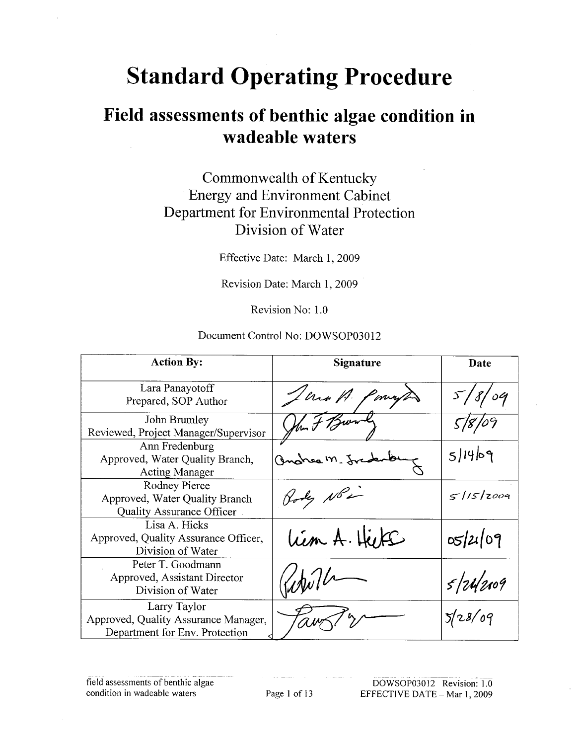# **Standard Operating Procedure**

# Field assessments of benthic algae condition in wadeable waters

# Commonwealth of Kentucky **Energy and Environment Cabinet** Department for Environmental Protection Division of Water

Effective Date: March 1, 2009

Revision Date: March 1, 2009

Revision No: 1.0

#### Document Control No: DOWSOP03012

| <b>Action By:</b>                                                                      | Signature       | Date      |
|----------------------------------------------------------------------------------------|-----------------|-----------|
| Lara Panayotoff<br>Prepared, SOP Author                                                | Jerra P.<br>mys | 18/09     |
| John Brumley<br>Reviewed, Project Manager/Supervisor                                   | then it         |           |
| Ann Fredenburg<br>Approved, Water Quality Branch,<br><b>Acting Manager</b>             | Ondream. fr     | 5 14 09   |
| Rodney Pierce<br>Approved, Water Quality Branch<br>Quality Assurance Officer           | Hody NB2        | 5115/2009 |
| Lisa A. Hicks<br>Approved, Quality Assurance Officer,<br>Division of Water             | Lim A. Hike     | 05/21/09  |
| Peter T. Goodmann<br>Approved, Assistant Director<br>Division of Water                 |                 | 5/24/209  |
| Larry Taylor<br>Approved, Quality Assurance Manager,<br>Department for Env. Protection |                 | 5/28/09   |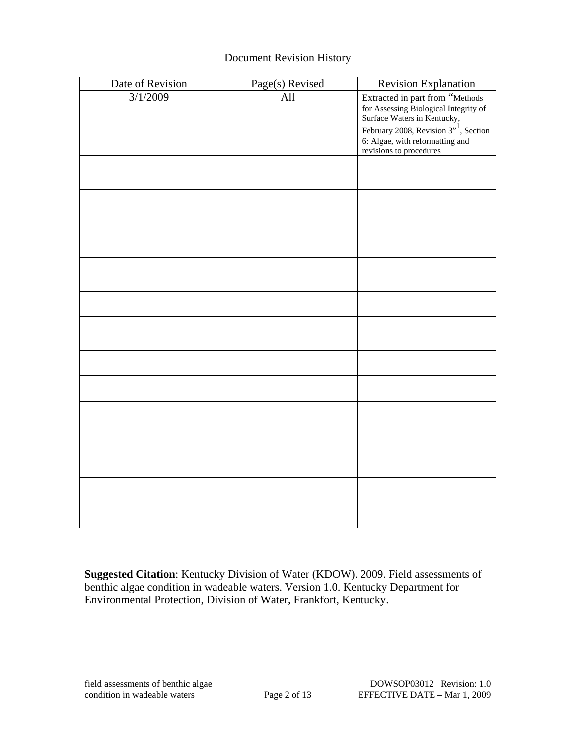#### Document Revision History

| Date of Revision | Page(s) Revised | <b>Revision Explanation</b>                                                                                                                            |
|------------------|-----------------|--------------------------------------------------------------------------------------------------------------------------------------------------------|
| 3/1/2009         | All             | Extracted in part from "Methods<br>for Assessing Biological Integrity of<br>Surface Waters in Kentucky,<br>February 2008, Revision $3^{1/7}$ , Section |
|                  |                 | 6: Algae, with reformatting and<br>revisions to procedures                                                                                             |
|                  |                 |                                                                                                                                                        |
|                  |                 |                                                                                                                                                        |
|                  |                 |                                                                                                                                                        |
|                  |                 |                                                                                                                                                        |
|                  |                 |                                                                                                                                                        |
|                  |                 |                                                                                                                                                        |
|                  |                 |                                                                                                                                                        |
|                  |                 |                                                                                                                                                        |
|                  |                 |                                                                                                                                                        |
|                  |                 |                                                                                                                                                        |
|                  |                 |                                                                                                                                                        |
|                  |                 |                                                                                                                                                        |
|                  |                 |                                                                                                                                                        |

**Suggested Citation**: Kentucky Division of Water (KDOW). 2009. Field assessments of benthic algae condition in wadeable waters. Version 1.0. Kentucky Department for Environmental Protection, Division of Water, Frankfort, Kentucky.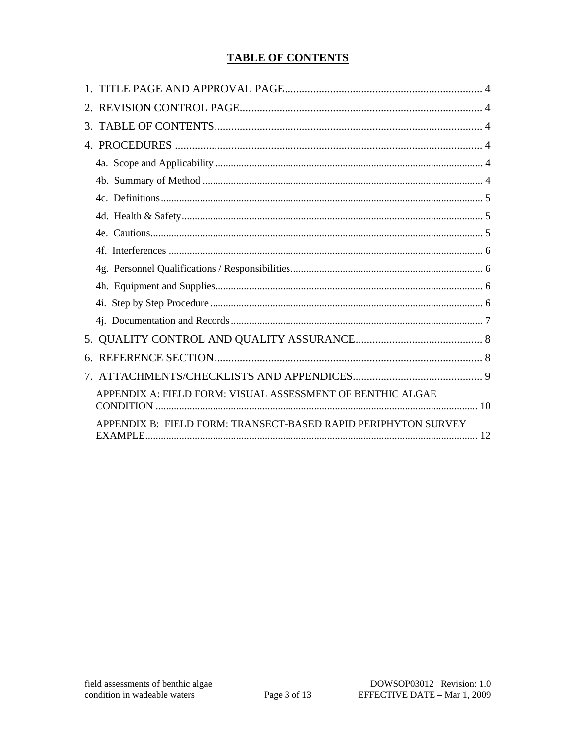#### **TABLE OF CONTENTS**

| 6.                                                             |
|----------------------------------------------------------------|
|                                                                |
| APPENDIX A: FIELD FORM: VISUAL ASSESSMENT OF BENTHIC ALGAE     |
| APPENDIX B: FIELD FORM: TRANSECT-BASED RAPID PERIPHYTON SURVEY |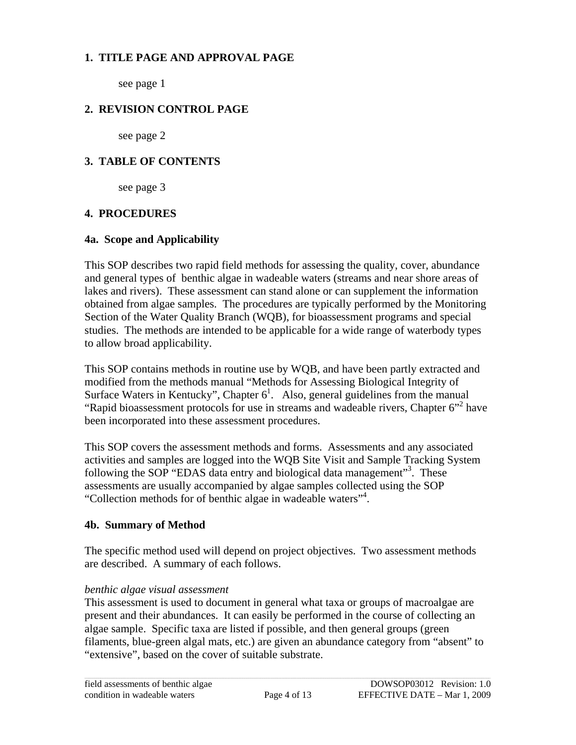#### <span id="page-3-0"></span>**1. TITLE PAGE AND APPROVAL PAGE**

see page 1

#### **2. REVISION CONTROL PAGE**

see page 2

#### **3. TABLE OF CONTENTS**

see page 3

#### **4. PROCEDURES**

#### **4a. Scope and Applicability**

This SOP describes two rapid field methods for assessing the quality, cover, abundance and general types of benthic algae in wadeable waters (streams and near shore areas of lakes and rivers). These assessment can stand alone or can supplement the information obtained from algae samples. The procedures are typically performed by the Monitoring Section of the Water Quality Branch (WQB), for bioassessment programs and special studies. The methods are intended to be applicable for a wide range of waterbody types to allow broad applicability.

This SOP contains methods in routine use by WQB, and have been partly extracted and modified from the methods manual "Methods for Assessing Biological Integrity of Surface Waters in Kentucky", Chapter  $6<sup>1</sup>$ . Also, general guidelines from the manual "Rapid bioassessment protocols for use in streams and wadeable rivers, Chapter 6"<sup>2</sup> have been incorporated into these assessment procedures.

This SOP covers the assessment methods and forms. Assessments and any associated activities and samples are logged into the WQB Site Visit and Sample Tracking System following the SOP "EDAS data entry and biological data management"<sup>3</sup>. These assessments are usually accompanied by algae samples collected using the SOP "Collection methods for of benthic algae in wadeable waters"4 .

#### **4b. Summary of Method**

The specific method used will depend on project objectives. Two assessment methods are described. A summary of each follows.

#### *benthic algae visual assessment*

This assessment is used to document in general what taxa or groups of macroalgae are present and their abundances. It can easily be performed in the course of collecting an algae sample. Specific taxa are listed if possible, and then general groups (green filaments, blue-green algal mats, etc.) are given an abundance category from "absent" to "extensive", based on the cover of suitable substrate.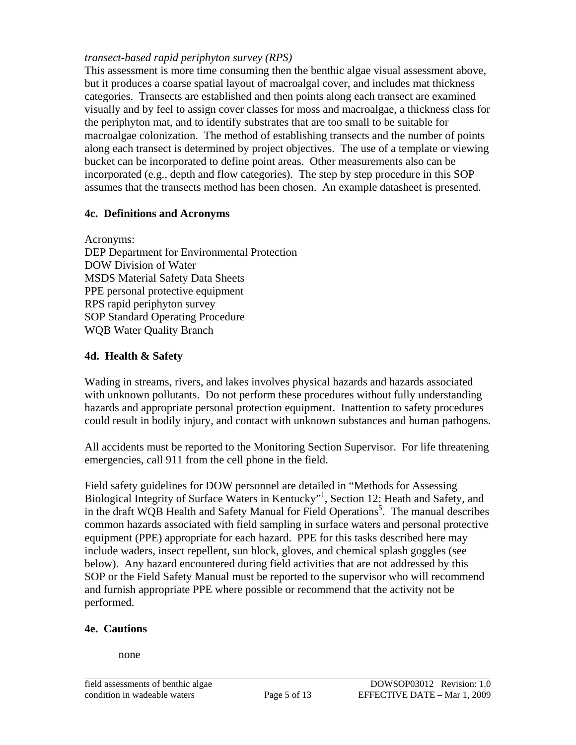#### <span id="page-4-0"></span>*transect-based rapid periphyton survey (RPS)*

This assessment is more time consuming then the benthic algae visual assessment above, but it produces a coarse spatial layout of macroalgal cover, and includes mat thickness categories. Transects are established and then points along each transect are examined visually and by feel to assign cover classes for moss and macroalgae, a thickness class for the periphyton mat, and to identify substrates that are too small to be suitable for macroalgae colonization. The method of establishing transects and the number of points along each transect is determined by project objectives. The use of a template or viewing bucket can be incorporated to define point areas. Other measurements also can be incorporated (e.g., depth and flow categories). The step by step procedure in this SOP assumes that the transects method has been chosen. An example datasheet is presented.

#### **4c. Definitions and Acronyms**

Acronyms: DEP Department for Environmental Protection DOW Division of Water MSDS Material Safety Data Sheets PPE personal protective equipment RPS rapid periphyton survey SOP Standard Operating Procedure WQB Water Quality Branch

#### **4d. Health & Safety**

Wading in streams, rivers, and lakes involves physical hazards and hazards associated with unknown pollutants. Do not perform these procedures without fully understanding hazards and appropriate personal protection equipment. Inattention to safety procedures could result in bodily injury, and contact with unknown substances and human pathogens.

All accidents must be reported to the Monitoring Section Supervisor. For life threatening emergencies, call 911 from the cell phone in the field.

Field safety guidelines for DOW personnel are detailed in "Methods for Assessing Biological Integrity of Surface Waters in Kentucky"<sup>1</sup>, Section 12: Heath and Safety, and in the draft WQB Health and Safety Manual for Field Operations<sup>5</sup>. The manual describes common hazards associated with field sampling in surface waters and personal protective equipment (PPE) appropriate for each hazard. PPE for this tasks described here may include waders, insect repellent, sun block, gloves, and chemical splash goggles (see below). Any hazard encountered during field activities that are not addressed by this SOP or the Field Safety Manual must be reported to the supervisor who will recommend and furnish appropriate PPE where possible or recommend that the activity not be performed.

#### **4e. Cautions**

none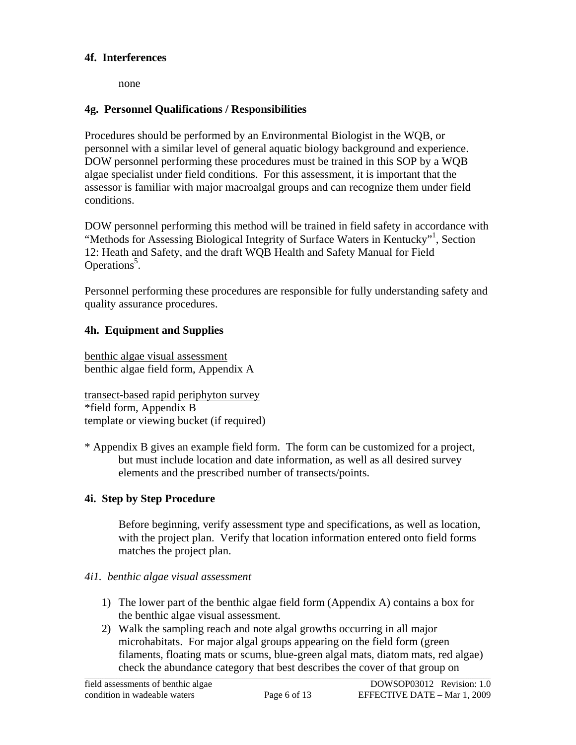#### <span id="page-5-0"></span>**4f. Interferences**

none

#### **4g. Personnel Qualifications / Responsibilities**

Procedures should be performed by an Environmental Biologist in the WQB, or personnel with a similar level of general aquatic biology background and experience. DOW personnel performing these procedures must be trained in this SOP by a WQB algae specialist under field conditions. For this assessment, it is important that the assessor is familiar with major macroalgal groups and can recognize them under field conditions.

DOW personnel performing this method will be trained in field safety in accordance with "Methods for Assessing Biological Integrity of Surface Waters in Kentucky"1 , Section 12: Heath and Safety, and the draft WQB Health and Safety Manual for Field Operations<sup>5</sup>.

Personnel performing these procedures are responsible for fully understanding safety and quality assurance procedures.

#### **4h. Equipment and Supplies**

benthic algae visual assessment benthic algae field form, Appendix A

transect-based rapid periphyton survey \*field form, Appendix B template or viewing bucket (if required)

\* Appendix B gives an example field form. The form can be customized for a project, but must include location and date information, as well as all desired survey elements and the prescribed number of transects/points.

#### **4i. Step by Step Procedure**

Before beginning, verify assessment type and specifications, as well as location, with the project plan. Verify that location information entered onto field forms matches the project plan.

#### *4i1. benthic algae visual assessment*

- 1) The lower part of the benthic algae field form (Appendix A) contains a box for the benthic algae visual assessment.
- 2) Walk the sampling reach and note algal growths occurring in all major microhabitats. For major algal groups appearing on the field form (green filaments, floating mats or scums, blue-green algal mats, diatom mats, red algae) check the abundance category that best describes the cover of that group on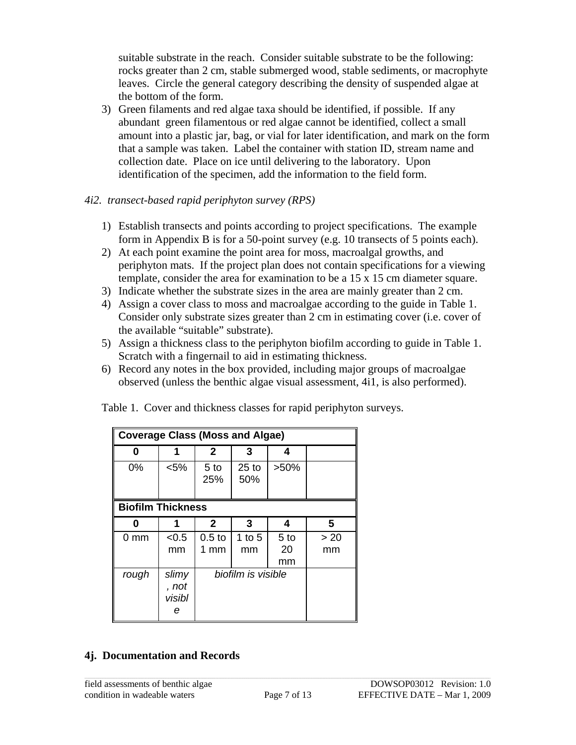<span id="page-6-0"></span>suitable substrate in the reach. Consider suitable substrate to be the following: rocks greater than 2 cm, stable submerged wood, stable sediments, or macrophyte leaves. Circle the general category describing the density of suspended algae at the bottom of the form.

3) Green filaments and red algae taxa should be identified, if possible. If any abundant green filamentous or red algae cannot be identified, collect a small amount into a plastic jar, bag, or vial for later identification, and mark on the form that a sample was taken. Label the container with station ID, stream name and collection date. Place on ice until delivering to the laboratory. Upon identification of the specimen, add the information to the field form.

#### *4i2. transect-based rapid periphyton survey (RPS)*

- 1) Establish transects and points according to project specifications. The example form in Appendix B is for a 50-point survey (e.g. 10 transects of 5 points each).
- 2) At each point examine the point area for moss, macroalgal growths, and periphyton mats. If the project plan does not contain specifications for a viewing template, consider the area for examination to be a 15 x 15 cm diameter square.
- 3) Indicate whether the substrate sizes in the area are mainly greater than 2 cm.
- 4) Assign a cover class to moss and macroalgae according to the guide in Table 1. Consider only substrate sizes greater than 2 cm in estimating cover (i.e. cover of the available "suitable" substrate).
- 5) Assign a thickness class to the periphyton biofilm according to guide in Table 1. Scratch with a fingernail to aid in estimating thickness.
- 6) Record any notes in the box provided, including major groups of macroalgae observed (unless the benthic algae visual assessment, 4i1, is also performed).

| <b>Coverage Class (Moss and Algae)</b> |                               |                           |                    |                             |            |
|----------------------------------------|-------------------------------|---------------------------|--------------------|-----------------------------|------------|
| 0                                      | 1                             | $\mathbf{2}$              | 3                  | 4                           |            |
| $0\%$                                  | $< 5\%$                       | 5 <sub>to</sub><br>25%    | $25$ to<br>50%     | $>50\%$                     |            |
| <b>Biofilm Thickness</b>               |                               |                           |                    |                             |            |
| ŋ                                      |                               | $\mathbf{2}$              | 3                  | 4                           | 5          |
| 0 mm                                   | < 0.5<br>mm                   | 0.5 <sub>to</sub><br>1 mm | 1 to $5$<br>mm     | 5 <sub>to</sub><br>20<br>mm | > 20<br>mm |
| rough                                  | slimy<br>, not<br>visibl<br>е |                           | biofilm is visible |                             |            |

Table 1. Cover and thickness classes for rapid periphyton surveys.

#### **4j. Documentation and Records**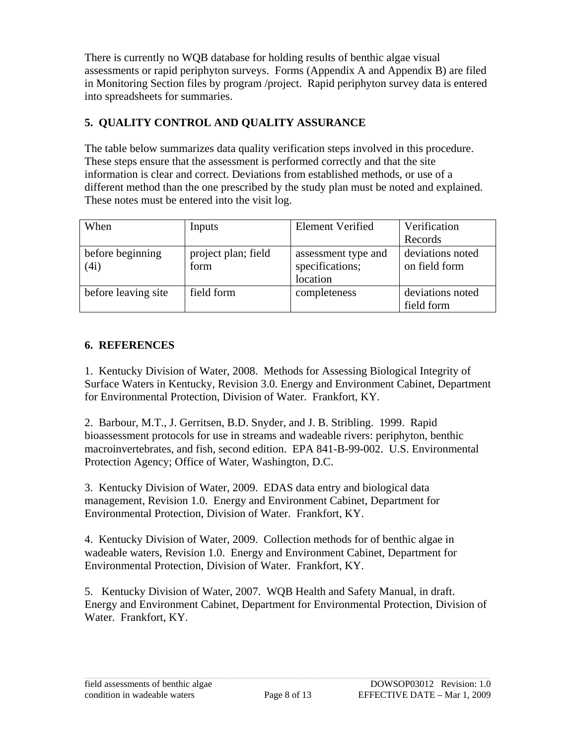<span id="page-7-0"></span>There is currently no WQB database for holding results of benthic algae visual assessments or rapid periphyton surveys. Forms (Appendix A and Appendix B) are filed in Monitoring Section files by program /project. Rapid periphyton survey data is entered into spreadsheets for summaries.

# **5. QUALITY CONTROL AND QUALITY ASSURANCE**

The table below summarizes data quality verification steps involved in this procedure. These steps ensure that the assessment is performed correctly and that the site information is clear and correct. Deviations from established methods, or use of a different method than the one prescribed by the study plan must be noted and explained. These notes must be entered into the visit log.

| When                     | Inputs                      | <b>Element Verified</b>                            | Verification                      |
|--------------------------|-----------------------------|----------------------------------------------------|-----------------------------------|
|                          |                             |                                                    | Records                           |
| before beginning<br>(4i) | project plan; field<br>form | assessment type and<br>specifications;<br>location | deviations noted<br>on field form |
| before leaving site      | field form                  | completeness                                       | deviations noted<br>field form    |

## **6. REFERENCES**

1. Kentucky Division of Water, 2008. Methods for Assessing Biological Integrity of Surface Waters in Kentucky, Revision 3.0. Energy and Environment Cabinet, Department for Environmental Protection, Division of Water. Frankfort, KY.

2. Barbour, M.T., J. Gerritsen, B.D. Snyder, and J. B. Stribling. 1999. Rapid bioassessment protocols for use in streams and wadeable rivers: periphyton, benthic macroinvertebrates, and fish, second edition. EPA 841-B-99-002. U.S. Environmental Protection Agency; Office of Water, Washington, D.C.

3. Kentucky Division of Water, 2009. EDAS data entry and biological data management, Revision 1.0. Energy and Environment Cabinet, Department for Environmental Protection, Division of Water. Frankfort, KY.

4. Kentucky Division of Water, 2009. Collection methods for of benthic algae in wadeable waters, Revision 1.0. Energy and Environment Cabinet, Department for Environmental Protection, Division of Water. Frankfort, KY.

5. Kentucky Division of Water, 2007. WQB Health and Safety Manual, in draft. Energy and Environment Cabinet, Department for Environmental Protection, Division of Water. Frankfort, KY.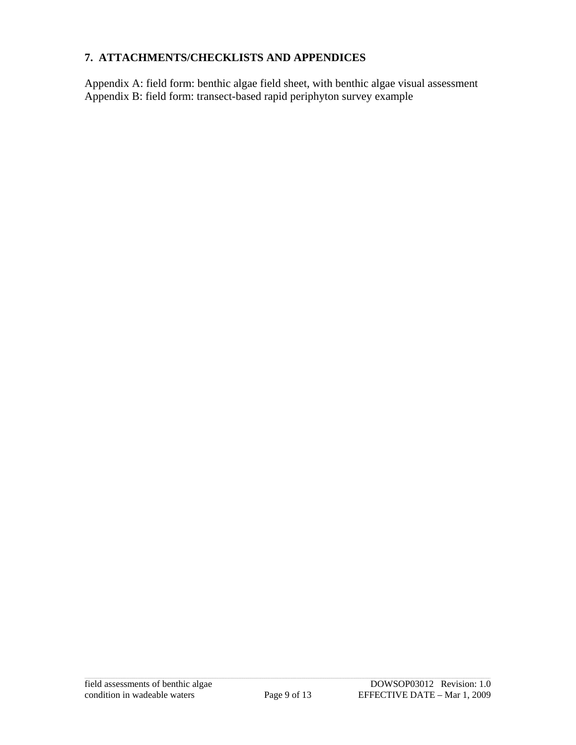#### <span id="page-8-0"></span>**7. ATTACHMENTS/CHECKLISTS AND APPENDICES**

Appendix A: field form: benthic algae field sheet, with benthic algae visual assessment Appendix B: field form: transect-based rapid periphyton survey example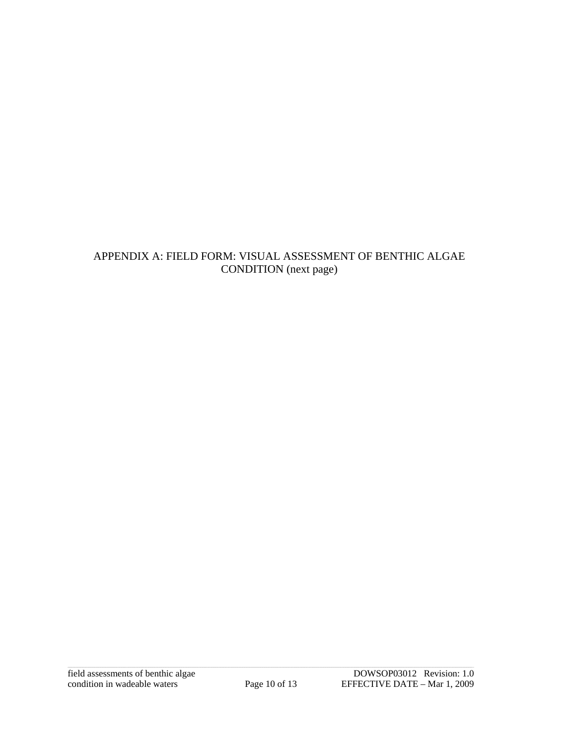# <span id="page-9-0"></span>APPENDIX A: FIELD FORM: VISUAL ASSESSMENT OF BENTHIC ALGAE CONDITION (next page)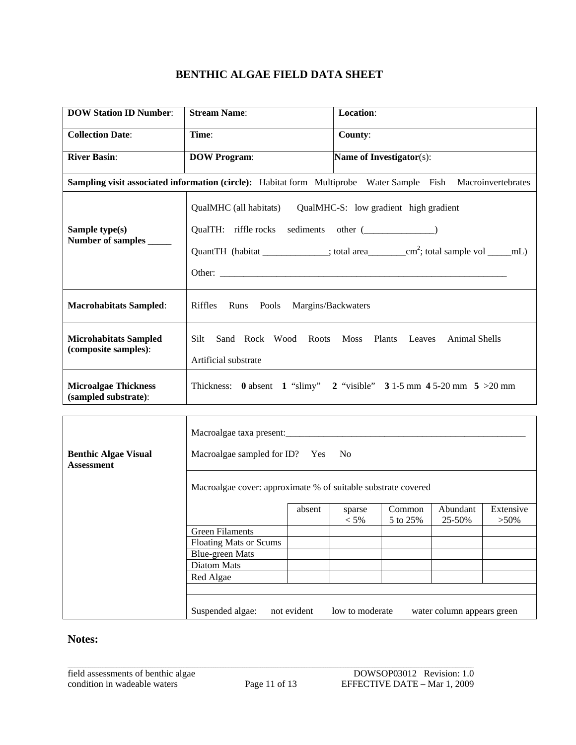# **BENTHIC ALGAE FIELD DATA SHEET**

| <b>DOW Station ID Number:</b>                        | <b>Stream Name:</b>                                                                                                           | Location:                                                                                                    |
|------------------------------------------------------|-------------------------------------------------------------------------------------------------------------------------------|--------------------------------------------------------------------------------------------------------------|
| <b>Collection Date:</b>                              | Time:                                                                                                                         | County:                                                                                                      |
| <b>River Basin:</b>                                  | <b>DOW Program:</b>                                                                                                           | <b>Name of Investigator(s):</b>                                                                              |
|                                                      |                                                                                                                               | Sampling visit associated information (circle): Habitat form Multiprobe Water Sample Fish Macroinvertebrates |
| Sample type(s)<br>Number of samples                  | QualMHC (all habitats) QualMHC-S: low gradient high gradient<br>QualTH: riffle rocks sediments other ( <i>_____________</i> ) |                                                                                                              |
| <b>Macrohabitats Sampled:</b>                        | Riffles Runs Pools Margins/Backwaters                                                                                         |                                                                                                              |
| <b>Microhabitats Sampled</b><br>(composite samples): | Silt.<br>Artificial substrate                                                                                                 | Sand Rock Wood Roots Moss Plants Leaves Animal Shells                                                        |
| <b>Microalgae Thickness</b><br>(sampled substrate):  |                                                                                                                               | Thickness: 0 absent 1 "slimy" 2 "visible" 3 1-5 mm 4 5-20 mm 5 > 20 mm                                       |

| <b>Benthic Algae Visual</b><br><b>Assessment</b> |                                                                                                 | Macroalgae taxa present:<br>Macroalgae sampled for ID? Yes No<br>Macroalgae cover: approximate % of suitable substrate covered |                 |  |                            |  |  |  |
|--------------------------------------------------|-------------------------------------------------------------------------------------------------|--------------------------------------------------------------------------------------------------------------------------------|-----------------|--|----------------------------|--|--|--|
|                                                  | Abundant<br>Extensive<br>Common<br>absent<br>sparse<br>$< 5\%$<br>5 to 25%<br>25-50%<br>$>50\%$ |                                                                                                                                |                 |  |                            |  |  |  |
|                                                  | <b>Green Filaments</b>                                                                          |                                                                                                                                |                 |  |                            |  |  |  |
|                                                  | <b>Floating Mats or Scums</b>                                                                   |                                                                                                                                |                 |  |                            |  |  |  |
|                                                  | <b>Blue-green Mats</b>                                                                          |                                                                                                                                |                 |  |                            |  |  |  |
|                                                  | <b>Diatom Mats</b>                                                                              |                                                                                                                                |                 |  |                            |  |  |  |
|                                                  | Red Algae                                                                                       |                                                                                                                                |                 |  |                            |  |  |  |
|                                                  |                                                                                                 |                                                                                                                                |                 |  |                            |  |  |  |
|                                                  | Suspended algae:                                                                                | not evident                                                                                                                    | low to moderate |  | water column appears green |  |  |  |

# **Notes:**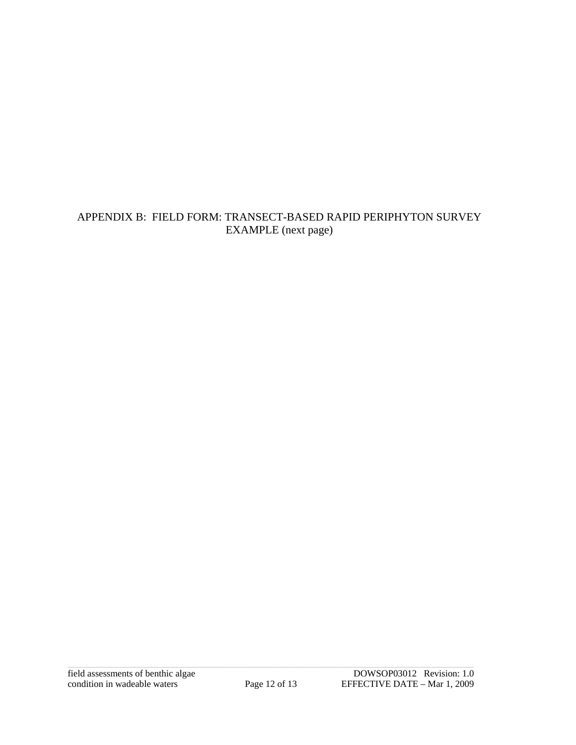# <span id="page-11-0"></span>APPENDIX B: FIELD FORM: TRANSECT-BASED RAPID PERIPHYTON SURVEY EXAMPLE (next page)